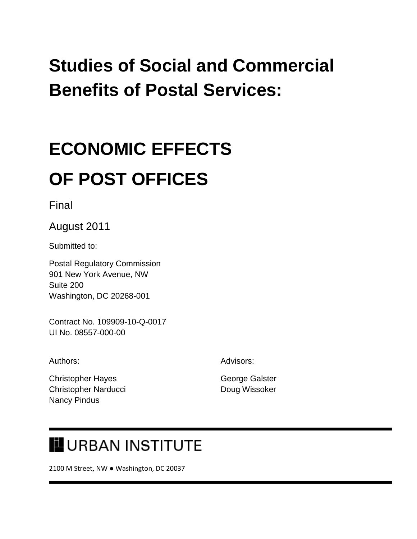# **Studies of Social and Commercial Benefits of Postal Services:**

# **ECONOMIC EFFECTS OF POST OFFICES**

Final

August 2011

Submitted to:

Postal Regulatory Commission 901 New York Avenue, NW Suite 200 Washington, DC 20268-001

Contract No. 109909-10-Q-0017 UI No. 08557-000-00

Christopher Hayes George Galster Christopher Narducci Doug Wissoker Nancy Pindus

Authors: Advisors:

# **URBAN INSTITUTE**

2100 M Street, NW ● Washington, DC 20037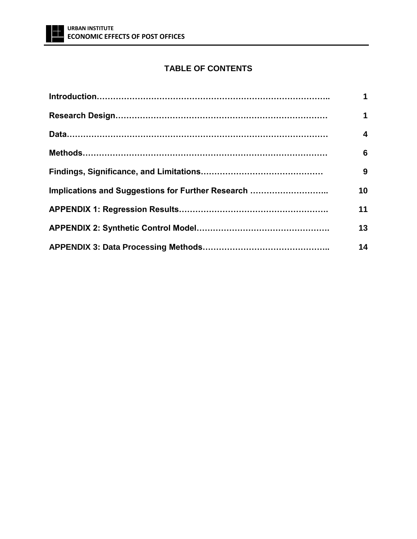

# **TABLE OF CONTENTS**

|                                                   | 1                       |
|---------------------------------------------------|-------------------------|
|                                                   | 1                       |
|                                                   | $\overline{\mathbf{4}}$ |
|                                                   | 6                       |
|                                                   | 9                       |
| Implications and Suggestions for Further Research | 10                      |
|                                                   | 11                      |
|                                                   | 13                      |
|                                                   | 14                      |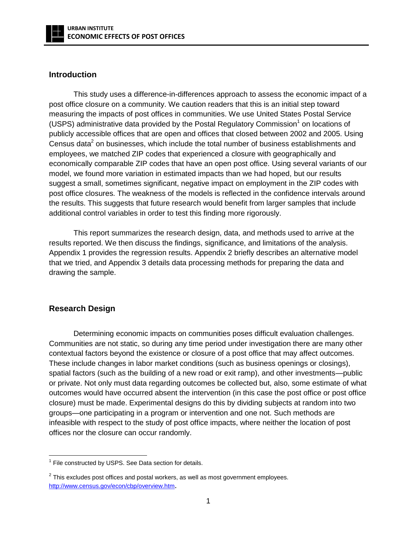#### **Introduction**

This study uses a difference-in-differences approach to assess the economic impact of a post office closure on a community. We caution readers that this is an initial step toward measuring the impacts of post offices in communities. We use United States Postal Service (USPS) administrative data provided by the Postal Regulatory Commission<sup>1</sup> on locations of publicly accessible offices that are open and offices that closed between 2002 and 2005. Using Census data<sup>2</sup> on businesses, which include the total number of business establishments and employees, we matched ZIP codes that experienced a closure with geographically and economically comparable ZIP codes that have an open post office. Using several variants of our model, we found more variation in estimated impacts than we had hoped, but our results suggest a small, sometimes significant, negative impact on employment in the ZIP codes with post office closures. The weakness of the models is reflected in the confidence intervals around the results. This suggests that future research would benefit from larger samples that include additional control variables in order to test this finding more rigorously.

This report summarizes the research design, data, and methods used to arrive at the results reported. We then discuss the findings, significance, and limitations of the analysis. Appendix 1 provides the regression results. Appendix 2 briefly describes an alternative model that we tried, and Appendix 3 details data processing methods for preparing the data and drawing the sample.

## **Research Design**

Determining economic impacts on communities poses difficult evaluation challenges. Communities are not static, so during any time period under investigation there are many other contextual factors beyond the existence or closure of a post office that may affect outcomes. These include changes in labor market conditions (such as business openings or closings), spatial factors (such as the building of a new road or exit ramp), and other investments—public or private. Not only must data regarding outcomes be collected but, also, some estimate of what outcomes would have occurred absent the intervention (in this case the post office or post office closure) must be made. Experimental designs do this by dividing subjects at random into two groups—one participating in a program or intervention and one not. Such methods are infeasible with respect to the study of post office impacts, where neither the location of post offices nor the closure can occur randomly.

 1 File constructed by USPS. See Data section for details.

 $^2$  This excludes post offices and postal workers, as well as most government employees. <http://www.census.gov/econ/cbp/overview.htm>.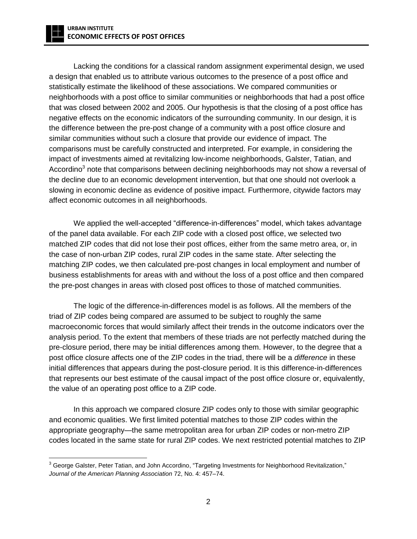Lacking the conditions for a classical random assignment experimental design, we used a design that enabled us to attribute various outcomes to the presence of a post office and statistically estimate the likelihood of these associations. We compared communities or neighborhoods with a post office to similar communities or neighborhoods that had a post office that was closed between 2002 and 2005. Our hypothesis is that the closing of a post office has negative effects on the economic indicators of the surrounding community. In our design, it is the difference between the pre-post change of a community with a post office closure and similar communities without such a closure that provide our evidence of impact. The comparisons must be carefully constructed and interpreted. For example, in considering the impact of investments aimed at revitalizing low-income neighborhoods, Galster, Tatian, and Accordino<sup>3</sup> note that comparisons between declining neighborhoods may not show a reversal of the decline due to an economic development intervention, but that one should not overlook a slowing in economic decline as evidence of positive impact. Furthermore, citywide factors may affect economic outcomes in all neighborhoods.

We applied the well-accepted "difference-in-differences" model, which takes advantage of the panel data available. For each ZIP code with a closed post office, we selected two matched ZIP codes that did not lose their post offices, either from the same metro area, or, in the case of non-urban ZIP codes, rural ZIP codes in the same state. After selecting the matching ZIP codes, we then calculated pre-post changes in local employment and number of business establishments for areas with and without the loss of a post office and then compared the pre-post changes in areas with closed post offices to those of matched communities.

The logic of the difference-in-differences model is as follows. All the members of the triad of ZIP codes being compared are assumed to be subject to roughly the same macroeconomic forces that would similarly affect their trends in the outcome indicators over the analysis period. To the extent that members of these triads are not perfectly matched during the pre-closure period, there may be initial differences among them. However, to the degree that a post office closure affects one of the ZIP codes in the triad, there will be a *difference* in these initial differences that appears during the post-closure period. It is this difference-in-differences that represents our best estimate of the causal impact of the post office closure or, equivalently, the value of an operating post office to a ZIP code.

In this approach we compared closure ZIP codes only to those with similar geographic and economic qualities. We first limited potential matches to those ZIP codes within the appropriate geography—the same metropolitan area for urban ZIP codes or non-metro ZIP codes located in the same state for rural ZIP codes. We next restricted potential matches to ZIP

 $\overline{a}$ 

<sup>&</sup>lt;sup>3</sup> George Galster, Peter Tatian, and John Accordino, "Targeting Investments for Neighborhood Revitalization," *Journal of the American Planning Association* 72, No. 4: 457–74.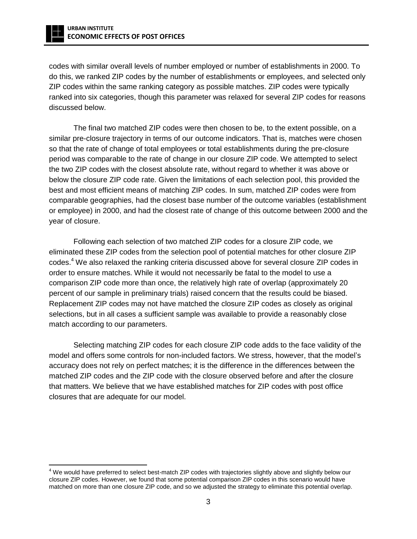

codes with similar overall levels of number employed or number of establishments in 2000. To do this, we ranked ZIP codes by the number of establishments or employees, and selected only ZIP codes within the same ranking category as possible matches. ZIP codes were typically ranked into six categories, though this parameter was relaxed for several ZIP codes for reasons discussed below.

The final two matched ZIP codes were then chosen to be, to the extent possible, on a similar pre-closure trajectory in terms of our outcome indicators. That is, matches were chosen so that the rate of change of total employees or total establishments during the pre-closure period was comparable to the rate of change in our closure ZIP code. We attempted to select the two ZIP codes with the closest absolute rate, without regard to whether it was above or below the closure ZIP code rate. Given the limitations of each selection pool, this provided the best and most efficient means of matching ZIP codes. In sum, matched ZIP codes were from comparable geographies, had the closest base number of the outcome variables (establishment or employee) in 2000, and had the closest rate of change of this outcome between 2000 and the year of closure.

Following each selection of two matched ZIP codes for a closure ZIP code, we eliminated these ZIP codes from the selection pool of potential matches for other closure ZIP codes.<sup>4</sup> We also relaxed the ranking criteria discussed above for several closure ZIP codes in order to ensure matches. While it would not necessarily be fatal to the model to use a comparison ZIP code more than once, the relatively high rate of overlap (approximately 20 percent of our sample in preliminary trials) raised concern that the results could be biased. Replacement ZIP codes may not have matched the closure ZIP codes as closely as original selections, but in all cases a sufficient sample was available to provide a reasonably close match according to our parameters.

Selecting matching ZIP codes for each closure ZIP code adds to the face validity of the model and offers some controls for non-included factors. We stress, however, that the model's accuracy does not rely on perfect matches; it is the difference in the differences between the matched ZIP codes and the ZIP code with the closure observed before and after the closure that matters. We believe that we have established matches for ZIP codes with post office closures that are adequate for our model.

 $\overline{a}$ 

<sup>&</sup>lt;sup>4</sup> We would have preferred to select best-match ZIP codes with trajectories slightly above and slightly below our closure ZIP codes. However, we found that some potential comparison ZIP codes in this scenario would have matched on more than one closure ZIP code, and so we adjusted the strategy to eliminate this potential overlap.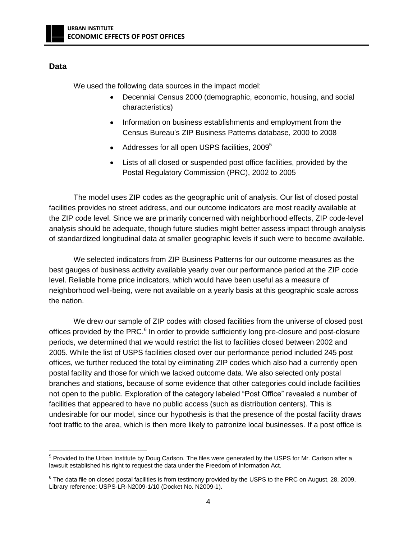# **Data**

We used the following data sources in the impact model:

- Decennial Census 2000 (demographic, economic, housing, and social characteristics)
- Information on business establishments and employment from the Census Bureau's ZIP Business Patterns database, 2000 to 2008
- $\bullet$  Addresses for all open USPS facilities, 2009<sup>5</sup>
- Lists of all closed or suspended post office facilities, provided by the Postal Regulatory Commission (PRC), 2002 to 2005

The model uses ZIP codes as the geographic unit of analysis. Our list of closed postal facilities provides no street address, and our outcome indicators are most readily available at the ZIP code level. Since we are primarily concerned with neighborhood effects, ZIP code-level analysis should be adequate, though future studies might better assess impact through analysis of standardized longitudinal data at smaller geographic levels if such were to become available.

We selected indicators from ZIP Business Patterns for our outcome measures as the best gauges of business activity available yearly over our performance period at the ZIP code level. Reliable home price indicators, which would have been useful as a measure of neighborhood well-being, were not available on a yearly basis at this geographic scale across the nation.

We drew our sample of ZIP codes with closed facilities from the universe of closed post offices provided by the PRC.<sup>6</sup> In order to provide sufficiently long pre-closure and post-closure periods, we determined that we would restrict the list to facilities closed between 2002 and 2005. While the list of USPS facilities closed over our performance period included 245 post offices, we further reduced the total by eliminating ZIP codes which also had a currently open postal facility and those for which we lacked outcome data. We also selected only postal branches and stations, because of some evidence that other categories could include facilities not open to the public. Exploration of the category labeled "Post Office" revealed a number of facilities that appeared to have no public access (such as distribution centers). This is undesirable for our model, since our hypothesis is that the presence of the postal facility draws foot traffic to the area, which is then more likely to patronize local businesses. If a post office is

 $\overline{a}$ <sup>5</sup> Provided to the Urban Institute by Doug Carlson. The files were generated by the USPS for Mr. Carlson after a lawsuit established his right to request the data under the Freedom of Information Act.

 $^6$  The data file on closed postal facilities is from testimony provided by the USPS to the PRC on August, 28, 2009, Library reference: USPS-LR-N2009-1/10 (Docket No. N2009-1).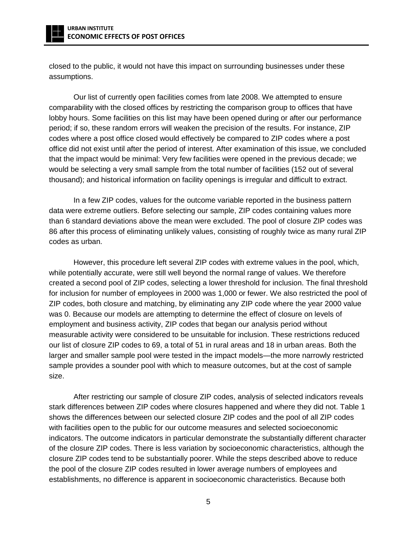

closed to the public, it would not have this impact on surrounding businesses under these assumptions.

Our list of currently open facilities comes from late 2008. We attempted to ensure comparability with the closed offices by restricting the comparison group to offices that have lobby hours. Some facilities on this list may have been opened during or after our performance period; if so, these random errors will weaken the precision of the results. For instance, ZIP codes where a post office closed would effectively be compared to ZIP codes where a post office did not exist until after the period of interest. After examination of this issue, we concluded that the impact would be minimal: Very few facilities were opened in the previous decade; we would be selecting a very small sample from the total number of facilities (152 out of several thousand); and historical information on facility openings is irregular and difficult to extract.

In a few ZIP codes, values for the outcome variable reported in the business pattern data were extreme outliers. Before selecting our sample, ZIP codes containing values more than 6 standard deviations above the mean were excluded. The pool of closure ZIP codes was 86 after this process of eliminating unlikely values, consisting of roughly twice as many rural ZIP codes as urban.

However, this procedure left several ZIP codes with extreme values in the pool, which, while potentially accurate, were still well beyond the normal range of values. We therefore created a second pool of ZIP codes, selecting a lower threshold for inclusion. The final threshold for inclusion for number of employees in 2000 was 1,000 or fewer. We also restricted the pool of ZIP codes, both closure and matching, by eliminating any ZIP code where the year 2000 value was 0. Because our models are attempting to determine the effect of closure on levels of employment and business activity, ZIP codes that began our analysis period without measurable activity were considered to be unsuitable for inclusion. These restrictions reduced our list of closure ZIP codes to 69, a total of 51 in rural areas and 18 in urban areas. Both the larger and smaller sample pool were tested in the impact models—the more narrowly restricted sample provides a sounder pool with which to measure outcomes, but at the cost of sample size.

After restricting our sample of closure ZIP codes, analysis of selected indicators reveals stark differences between ZIP codes where closures happened and where they did not. Table 1 shows the differences between our selected closure ZIP codes and the pool of all ZIP codes with facilities open to the public for our outcome measures and selected socioeconomic indicators. The outcome indicators in particular demonstrate the substantially different character of the closure ZIP codes. There is less variation by socioeconomic characteristics, although the closure ZIP codes tend to be substantially poorer. While the steps described above to reduce the pool of the closure ZIP codes resulted in lower average numbers of employees and establishments, no difference is apparent in socioeconomic characteristics. Because both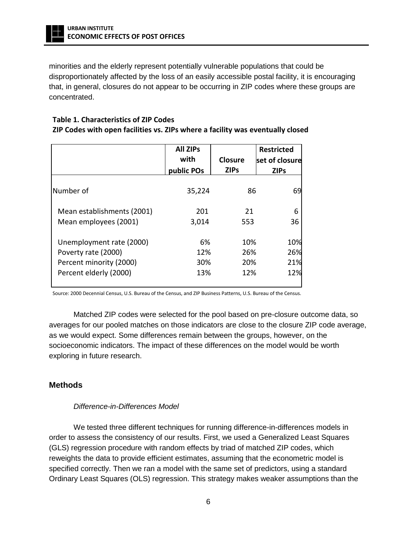minorities and the elderly represent potentially vulnerable populations that could be disproportionately affected by the loss of an easily accessible postal facility, it is encouraging that, in general, closures do not appear to be occurring in ZIP codes where these groups are concentrated.

## **Table 1. Characteristics of ZIP Codes**

|                            | <b>All ZIPs</b><br>with<br>public POs | <b>Closure</b><br><b>ZIPs</b> | <b>Restricted</b><br>lset of closure<br><b>ZIPs</b> |
|----------------------------|---------------------------------------|-------------------------------|-----------------------------------------------------|
| Number of                  | 35,224                                | 86                            | 69                                                  |
| Mean establishments (2001) | 201                                   | 21                            | 6                                                   |
| Mean employees (2001)      | 3,014                                 | 553                           | 36                                                  |
| Unemployment rate (2000)   | 6%                                    | 10%                           | 10%                                                 |
| Poverty rate (2000)        | 12%                                   | 26%                           | 26%                                                 |
| Percent minority (2000)    | 30%                                   | 20%                           | 21%                                                 |
| Percent elderly (2000)     | 13%                                   | 12%                           | 12%                                                 |

# **ZIP Codes with open facilities vs. ZIPs where a facility was eventually closed**

Source: 2000 Decennial Census, U.S. Bureau of the Census, and ZIP Business Patterns, U.S. Bureau of the Census.

Matched ZIP codes were selected for the pool based on pre-closure outcome data, so averages for our pooled matches on those indicators are close to the closure ZIP code average, as we would expect. Some differences remain between the groups, however, on the socioeconomic indicators. The impact of these differences on the model would be worth exploring in future research.

# **Methods**

## *Difference-in-Differences Model*

We tested three different techniques for running difference-in-differences models in order to assess the consistency of our results. First, we used a Generalized Least Squares (GLS) regression procedure with random effects by triad of matched ZIP codes, which reweights the data to provide efficient estimates, assuming that the econometric model is specified correctly. Then we ran a model with the same set of predictors, using a standard Ordinary Least Squares (OLS) regression. This strategy makes weaker assumptions than the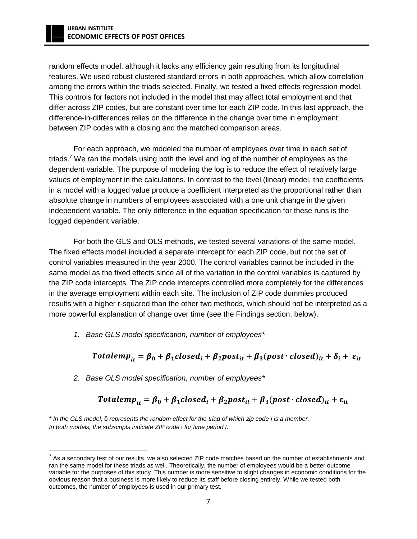random effects model, although it lacks any efficiency gain resulting from its longitudinal features. We used robust clustered standard errors in both approaches, which allow correlation among the errors within the triads selected. Finally, we tested a fixed effects regression model. This controls for factors not included in the model that may affect total employment and that differ across ZIP codes, but are constant over time for each ZIP code. In this last approach, the difference-in-differences relies on the difference in the change over time in employment between ZIP codes with a closing and the matched comparison areas.

For each approach, we modeled the number of employees over time in each set of triads.<sup>7</sup> We ran the models using both the level and log of the number of employees as the dependent variable. The purpose of modeling the log is to reduce the effect of relatively large values of employment in the calculations. In contrast to the level (linear) model, the coefficients in a model with a logged value produce a coefficient interpreted as the proportional rather than absolute change in numbers of employees associated with a one unit change in the given independent variable. The only difference in the equation specification for these runs is the logged dependent variable.

For both the GLS and OLS methods, we tested several variations of the same model. The fixed effects model included a separate intercept for each ZIP code, but not the set of control variables measured in the year 2000. The control variables cannot be included in the same model as the fixed effects since all of the variation in the control variables is captured by the ZIP code intercepts. The ZIP code intercepts controlled more completely for the differences in the average employment within each site. The inclusion of ZIP code dummies produced results with a higher r-squared than the other two methods, which should not be interpreted as a more powerful explanation of change over time (see the Findings section, below).

*1. Base GLS model specification, number of employees\**

 $Totalemp_{it} = \beta_0 + \beta_1 closed_i + \beta_2 post_{it} + \beta_3 (post \cdot closed)_{it} + \delta_i + \varepsilon_{it}$ 

*2. Base OLS model specification, number of employees\**

$$
Totalemp_{it} = \beta_0 + \beta_1 closed_i + \beta_2 post_{it} + \beta_3 (post \cdot closed)_{it} + \varepsilon_{it}
$$

*\* In the GLS model,* δ *represents the random effect for the triad of which zip code i is a member. In both models, the subscripts indicate ZIP code* i *for time period t.*

 $\overline{a}$  $^7$  As a secondary test of our results, we also selected ZIP code matches based on the number of establishments and ran the same model for these triads as well. Theoretically, the number of employees would be a better outcome variable for the purposes of this study. This number is more sensitive to slight changes in economic conditions for the obvious reason that a business is more likely to reduce its staff before closing entirely. While we tested both outcomes, the number of employees is used in our primary test.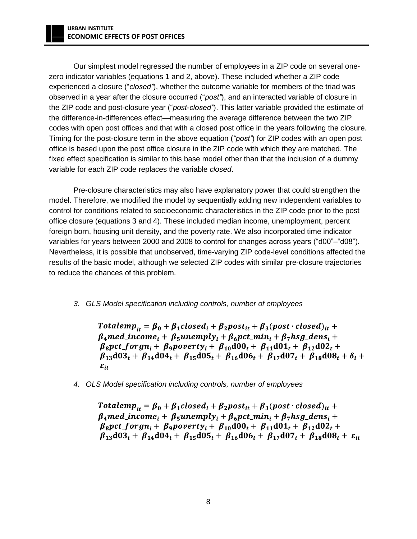Our simplest model regressed the number of employees in a ZIP code on several onezero indicator variables (equations 1 and 2, above). These included whether a ZIP code experienced a closure ("closed"), whether the outcome variable for members of the triad was observed in a year after the closure occurred ("post"), and an interacted variable of closure in the ZIP code and post-closure year ("*post-closed"*). This latter variable provided the estimate of the difference-in-differences effect—measuring the average difference between the two ZIP codes with open post offices and that with a closed post office in the years following the closure. Timing for the post-closure term in the above equation (*"post"*) for ZIP codes with an open post office is based upon the post office closure in the ZIP code with which they are matched. The fixed effect specification is similar to this base model other than that the inclusion of a dummy variable for each ZIP code replaces the variable *closed*.

Pre-closure characteristics may also have explanatory power that could strengthen the model. Therefore, we modified the model by sequentially adding new independent variables to control for conditions related to socioeconomic characteristics in the ZIP code prior to the post office closure (equations 3 and 4). These included median income, unemployment, percent foreign born, housing unit density, and the poverty rate. We also incorporated time indicator variables for years between 2000 and 2008 to control for changes across years ("d00"–"d08"). Nevertheless, it is possible that unobserved, time-varying ZIP code-level conditions affected the results of the basic model, although we selected ZIP codes with similar pre-closure trajectories to reduce the chances of this problem.

#### *3. GLS Model specification including controls, number of employees*

 $Totalemp_{it} = \beta_0 + \beta_1 closed_i + \beta_2 post_{it} + \beta_3 (post \; closed)_{it} +$  $\beta_4$ med\_income<sub>i</sub> +  $\beta_5$ unemply<sub>i</sub> +  $\beta_6$ pct\_min<sub>i</sub> +  $\beta_7$ hsg\_dens<sub>i</sub> +  $\beta_8 pct\_forgn_i + \beta_9 poverty_i + \beta_{10}d00_t + \beta_{11}d01_t + \beta_{12}d02_t +$  $\beta_{13}d03_t + \beta_{14}d04_t + \beta_{15}d05_t + \beta_{16}d06_t + \beta_{17}d07_t + \beta_{18}d08_t + \delta_i +$  $\varepsilon_{it}$ 

*4. OLS Model specification including controls, number of employees*

 $Totalemp_{it} = \beta_0 + \beta_1 closed_i + \beta_2 post_{it} + \beta_3 (post \cdot closed)_{it} +$  $\beta_4$ med\_income<sub>i</sub> +  $\beta_5$ unemply<sub>i</sub> +  $\beta_6$ pct\_min<sub>i</sub> +  $\beta_7$ hsg\_dens<sub>i</sub> +  $\beta_8 pct\_forgn_i + \beta_9 poverty_i + \beta_{10}d00_t + \beta_{11}d01_t + \beta_{12}d02_t +$  $\beta_{13}d03_t + \beta_{14}d04_t + \beta_{15}d05_t + \beta_{16}d06_t + \beta_{17}d07_t + \beta_{18}d08_t + \varepsilon_{it}$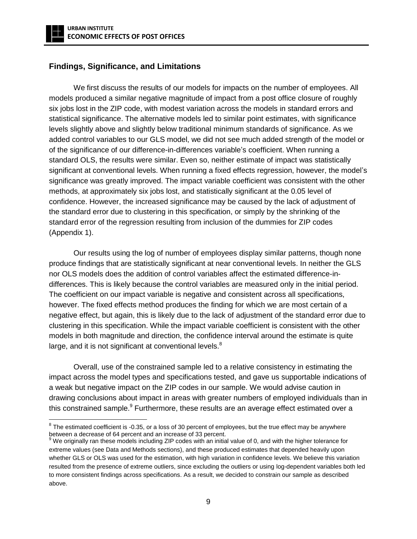

#### **Findings, Significance, and Limitations**

 $\overline{a}$ 

We first discuss the results of our models for impacts on the number of employees. All models produced a similar negative magnitude of impact from a post office closure of roughly six jobs lost in the ZIP code, with modest variation across the models in standard errors and statistical significance. The alternative models led to similar point estimates, with significance levels slightly above and slightly below traditional minimum standards of significance. As we added control variables to our GLS model, we did not see much added strength of the model or of the significance of our difference-in-differences variable's coefficient. When running a standard OLS, the results were similar. Even so, neither estimate of impact was statistically significant at conventional levels. When running a fixed effects regression, however, the model's significance was greatly improved. The impact variable coefficient was consistent with the other methods, at approximately six jobs lost, and statistically significant at the 0.05 level of confidence. However, the increased significance may be caused by the lack of adjustment of the standard error due to clustering in this specification, or simply by the shrinking of the standard error of the regression resulting from inclusion of the dummies for ZIP codes (Appendix 1).

Our results using the log of number of employees display similar patterns, though none produce findings that are statistically significant at near conventional levels. In neither the GLS nor OLS models does the addition of control variables affect the estimated difference-indifferences. This is likely because the control variables are measured only in the initial period. The coefficient on our impact variable is negative and consistent across all specifications, however. The fixed effects method produces the finding for which we are most certain of a negative effect, but again, this is likely due to the lack of adjustment of the standard error due to clustering in this specification. While the impact variable coefficient is consistent with the other models in both magnitude and direction, the confidence interval around the estimate is quite large, and it is not significant at conventional levels. $8$ 

Overall, use of the constrained sample led to a relative consistency in estimating the impact across the model types and specifications tested, and gave us supportable indications of a weak but negative impact on the ZIP codes in our sample. We would advise caution in drawing conclusions about impact in areas with greater numbers of employed individuals than in this constrained sample.<sup>9</sup> Furthermore, these results are an average effect estimated over a

 $8$  The estimated coefficient is -0.35, or a loss of 30 percent of employees, but the true effect may be anywhere between a decrease of 64 percent and an increase of 33 percent.

 $9$  We originally ran these models including ZIP codes with an initial value of 0, and with the higher tolerance for extreme values (see Data and Methods sections), and these produced estimates that depended heavily upon whether GLS or OLS was used for the estimation, with high variation in confidence levels. We believe this variation resulted from the presence of extreme outliers, since excluding the outliers or using log-dependent variables both led to more consistent findings across specifications. As a result, we decided to constrain our sample as described above.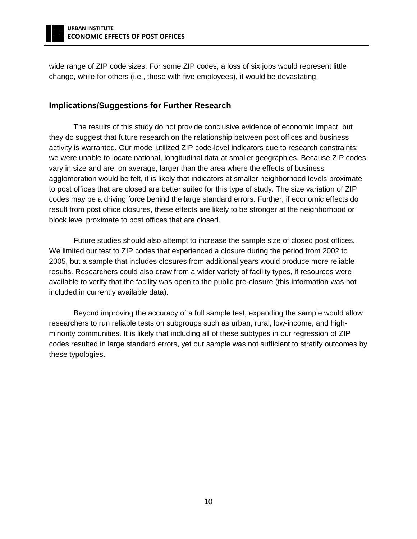

wide range of ZIP code sizes. For some ZIP codes, a loss of six jobs would represent little change, while for others (i.e., those with five employees), it would be devastating.

#### **Implications/Suggestions for Further Research**

The results of this study do not provide conclusive evidence of economic impact, but they do suggest that future research on the relationship between post offices and business activity is warranted. Our model utilized ZIP code-level indicators due to research constraints: we were unable to locate national, longitudinal data at smaller geographies. Because ZIP codes vary in size and are, on average, larger than the area where the effects of business agglomeration would be felt, it is likely that indicators at smaller neighborhood levels proximate to post offices that are closed are better suited for this type of study. The size variation of ZIP codes may be a driving force behind the large standard errors. Further, if economic effects do result from post office closures, these effects are likely to be stronger at the neighborhood or block level proximate to post offices that are closed.

Future studies should also attempt to increase the sample size of closed post offices. We limited our test to ZIP codes that experienced a closure during the period from 2002 to 2005, but a sample that includes closures from additional years would produce more reliable results. Researchers could also draw from a wider variety of facility types, if resources were available to verify that the facility was open to the public pre-closure (this information was not included in currently available data).

Beyond improving the accuracy of a full sample test, expanding the sample would allow researchers to run reliable tests on subgroups such as urban, rural, low-income, and highminority communities. It is likely that including all of these subtypes in our regression of ZIP codes resulted in large standard errors, yet our sample was not sufficient to stratify outcomes by these typologies.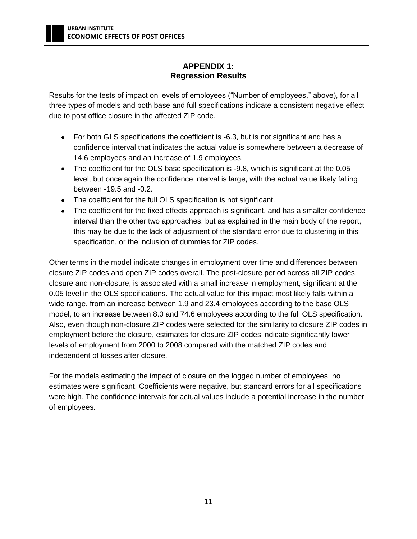# **APPENDIX 1: Regression Results**

Results for the tests of impact on levels of employees ("Number of employees," above), for all three types of models and both base and full specifications indicate a consistent negative effect due to post office closure in the affected ZIP code.

- For both GLS specifications the coefficient is -6.3, but is not significant and has a confidence interval that indicates the actual value is somewhere between a decrease of 14.6 employees and an increase of 1.9 employees.
- The coefficient for the OLS base specification is -9.8, which is significant at the 0.05 level, but once again the confidence interval is large, with the actual value likely falling between -19.5 and -0.2.
- The coefficient for the full OLS specification is not significant.
- The coefficient for the fixed effects approach is significant, and has a smaller confidence interval than the other two approaches, but as explained in the main body of the report, this may be due to the lack of adjustment of the standard error due to clustering in this specification, or the inclusion of dummies for ZIP codes.

Other terms in the model indicate changes in employment over time and differences between closure ZIP codes and open ZIP codes overall. The post-closure period across all ZIP codes, closure and non-closure, is associated with a small increase in employment, significant at the 0.05 level in the OLS specifications. The actual value for this impact most likely falls within a wide range, from an increase between 1.9 and 23.4 employees according to the base OLS model, to an increase between 8.0 and 74.6 employees according to the full OLS specification. Also, even though non-closure ZIP codes were selected for the similarity to closure ZIP codes in employment before the closure, estimates for closure ZIP codes indicate significantly lower levels of employment from 2000 to 2008 compared with the matched ZIP codes and independent of losses after closure.

For the models estimating the impact of closure on the logged number of employees, no estimates were significant. Coefficients were negative, but standard errors for all specifications were high. The confidence intervals for actual values include a potential increase in the number of employees.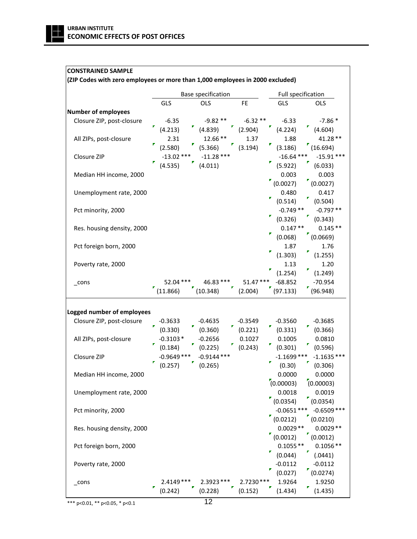

# **CONSTRAINED SAMPLE**

|                            | (ZIP Codes with zero employees or more than 1,000 employees in 2000 excluded) |                                |
|----------------------------|-------------------------------------------------------------------------------|--------------------------------|
|                            | <b>Base specification</b>                                                     | Full specification             |
|                            | FE<br>GLS<br><b>OLS</b>                                                       | GLS<br><b>OLS</b>              |
| <b>Number of employees</b> |                                                                               |                                |
| Closure ZIP, post-closure  | $-6.35$<br>$-9.82**$<br>$-6.32**$                                             | $-6.33$<br>$-7.86*$            |
|                            | (4.213)<br>(4.839)<br>(2.904)                                                 | (4.224)<br>(4.604)             |
| All ZIPs, post-closure     | 12.66 **<br>2.31<br>1.37                                                      | 41.28 **<br>1.88               |
|                            | (2.580)<br>(5.366)<br>(3.194)                                                 | (16.694)<br>(3.186)            |
| Closure ZIP                | $-11.28$ ***<br>$-13.02$ ***                                                  | $-15.91$ ***<br>$-16.64$ ***   |
|                            | (4.535)<br>(4.011)                                                            | (5.922)<br>(6.033)             |
| Median HH income, 2000     |                                                                               | 0.003<br>0.003                 |
|                            |                                                                               | (0.0027)<br>(0.0027)           |
| Unemployment rate, 2000    |                                                                               | 0.480<br>0.417                 |
|                            |                                                                               | (0.514)<br>(0.504)             |
| Pct minority, 2000         |                                                                               | $-0.749**$<br>$-0.797**$       |
|                            |                                                                               | (0.326)<br>(0.343)             |
| Res. housing density, 2000 |                                                                               | $0.147**$<br>$0.145**$         |
|                            |                                                                               | (0.068)<br>(0.0669)            |
| Pct foreign born, 2000     |                                                                               | 1.87<br>1.76                   |
|                            |                                                                               | (1.303)<br>(1.255)             |
| Poverty rate, 2000         |                                                                               | 1.13<br>1.20                   |
|                            |                                                                               | (1.249)<br>(1.254)             |
| cons                       | $51.47***$<br>52.04 ***<br>46.83 ***                                          | $-68.852$<br>$-70.954$         |
|                            | (11.866)<br>(10.348)<br>(2.004)                                               | (96.948)<br>(97.133)           |
|                            |                                                                               |                                |
| Logged number of employees |                                                                               |                                |
| Closure ZIP, post-closure  | $-0.3633$<br>$-0.4635$<br>$-0.3549$                                           | $-0.3560$<br>$-0.3685$         |
|                            | (0.330)<br>(0.360)<br>(0.221)                                                 | (0.331)<br>(0.366)             |
| All ZIPs, post-closure     | $-0.3103*$<br>$-0.2656$<br>0.1027                                             | 0.0810<br>0.1005               |
|                            | (0.184)<br>(0.225)<br>(0.243)                                                 | (0.596)<br>(0.301)             |
| Closure ZIP                | $-0.9649$ ***<br>$-0.9144$ ***                                                | $-1.1699$ ***<br>$-1.1635***$  |
|                            | (0.265)<br>(0.257)                                                            | (0.30)<br>(0.306)              |
| Median HH income, 2000     |                                                                               | 0.0000<br>0.0000               |
|                            |                                                                               | (0.00003)<br>(0.00003)         |
| Unemployment rate, 2000    |                                                                               | 0.0019<br>0.0018               |
|                            |                                                                               | (0.0354)<br>(0.0354)           |
| Pct minority, 2000         |                                                                               | $-0.0651$ ***<br>$-0.6509$ *** |
|                            |                                                                               | (0.0212)<br>(0.0210)           |
| Res. housing density, 2000 |                                                                               | $0.0029**$<br>$0.0029**$       |
|                            |                                                                               | (0.0012)<br>(0.0012)           |
| Pct foreign born, 2000     |                                                                               | $0.1056**$<br>$0.1055**$       |
|                            |                                                                               | (0.044)<br>(.0441)             |
| Poverty rate, 2000         |                                                                               | $-0.0112$<br>$-0.0112$         |
|                            |                                                                               | (0.0274)<br>(0.027)            |
| cons                       | $2.4149***$<br>2.3923 ***<br>2.7230 ***                                       | 1.9264<br>1.9250               |
|                            |                                                                               |                                |
|                            | (0.242)<br>(0.228)<br>(0.152)                                                 | (1.434)<br>(1.435)             |

\*\*\* p<0.01, \*\* p<0.05, \* p<0.1

L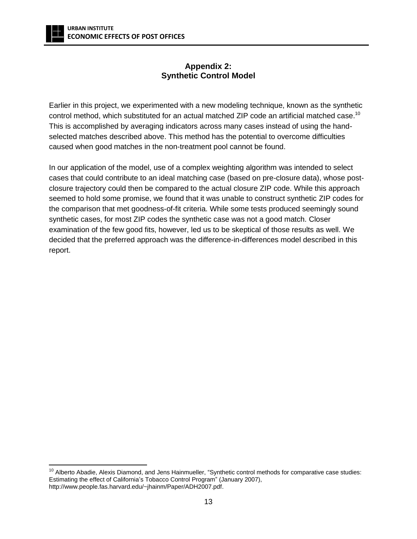$\overline{a}$ 

# **Appendix 2: Synthetic Control Model**

Earlier in this project, we experimented with a new modeling technique, known as the synthetic control method, which substituted for an actual matched ZIP code an artificial matched case.<sup>10</sup> This is accomplished by averaging indicators across many cases instead of using the handselected matches described above. This method has the potential to overcome difficulties caused when good matches in the non-treatment pool cannot be found.

In our application of the model, use of a complex weighting algorithm was intended to select cases that could contribute to an ideal matching case (based on pre-closure data), whose postclosure trajectory could then be compared to the actual closure ZIP code. While this approach seemed to hold some promise, we found that it was unable to construct synthetic ZIP codes for the comparison that met goodness-of-fit criteria. While some tests produced seemingly sound synthetic cases, for most ZIP codes the synthetic case was not a good match. Closer examination of the few good fits, however, led us to be skeptical of those results as well. We decided that the preferred approach was the difference-in-differences model described in this report.

 $10$  Alberto Abadie, Alexis Diamond, and Jens Hainmueller, "Synthetic control methods for comparative case studies: Estimating the effect of California's Tobacco Control Program" (January 2007), http://www.people.fas.harvard.edu/~jhainm/Paper/ADH2007.pdf.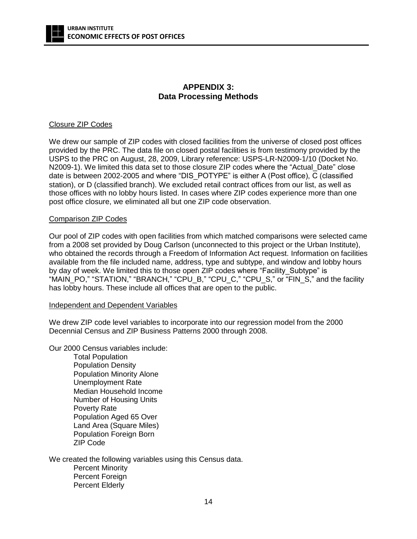

# **APPENDIX 3: Data Processing Methods**

#### Closure ZIP Codes

We drew our sample of ZIP codes with closed facilities from the universe of closed post offices provided by the PRC. The data file on closed postal facilities is from testimony provided by the USPS to the PRC on August, 28, 2009, Library reference: USPS-LR-N2009-1/10 (Docket No. N2009-1). We limited this data set to those closure ZIP codes where the "Actual Date" close date is between 2002-2005 and where "DIS\_POTYPE" is either A (Post office), C (classified station), or D (classified branch). We excluded retail contract offices from our list, as well as those offices with no lobby hours listed. In cases where ZIP codes experience more than one post office closure, we eliminated all but one ZIP code observation.

#### Comparison ZIP Codes

Our pool of ZIP codes with open facilities from which matched comparisons were selected came from a 2008 set provided by Doug Carlson (unconnected to this project or the Urban Institute), who obtained the records through a Freedom of Information Act request. Information on facilities available from the file included name, address, type and subtype, and window and lobby hours by day of week. We limited this to those open ZIP codes where "Facility Subtype" is "MAIN\_PO," "STATION," "BRANCH," "CPU\_B," "CPU\_C," "CPU\_S," or "FIN\_S," and the facility has lobby hours. These include all offices that are open to the public.

#### Independent and Dependent Variables

We drew ZIP code level variables to incorporate into our regression model from the 2000 Decennial Census and ZIP Business Patterns 2000 through 2008.

Our 2000 Census variables include: Total Population

Population Density Population Minority Alone Unemployment Rate Median Household Income Number of Housing Units Poverty Rate Population Aged 65 Over Land Area (Square Miles) Population Foreign Born ZIP Code

We created the following variables using this Census data.

Percent Minority Percent Foreign Percent Elderly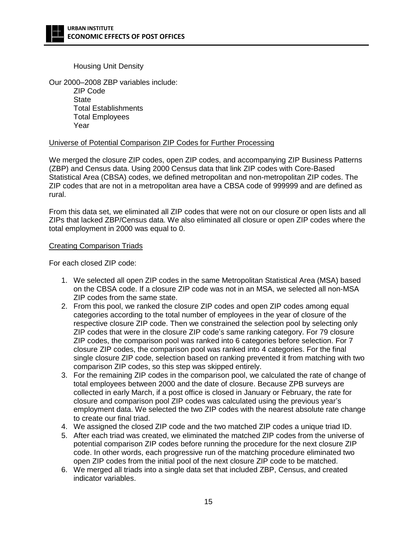Housing Unit Density

Our 2000–2008 ZBP variables include:

ZIP Code State Total Establishments Total Employees Year

#### Universe of Potential Comparison ZIP Codes for Further Processing

We merged the closure ZIP codes, open ZIP codes, and accompanying ZIP Business Patterns (ZBP) and Census data. Using 2000 Census data that link ZIP codes with Core-Based Statistical Area (CBSA) codes, we defined metropolitan and non-metropolitan ZIP codes. The ZIP codes that are not in a metropolitan area have a CBSA code of 999999 and are defined as rural.

From this data set, we eliminated all ZIP codes that were not on our closure or open lists and all ZIPs that lacked ZBP/Census data. We also eliminated all closure or open ZIP codes where the total employment in 2000 was equal to 0.

#### Creating Comparison Triads

For each closed ZIP code:

- 1. We selected all open ZIP codes in the same Metropolitan Statistical Area (MSA) based on the CBSA code. If a closure ZIP code was not in an MSA, we selected all non-MSA ZIP codes from the same state.
- 2. From this pool, we ranked the closure ZIP codes and open ZIP codes among equal categories according to the total number of employees in the year of closure of the respective closure ZIP code. Then we constrained the selection pool by selecting only ZIP codes that were in the closure ZIP code's same ranking category. For 79 closure ZIP codes, the comparison pool was ranked into 6 categories before selection. For 7 closure ZIP codes, the comparison pool was ranked into 4 categories. For the final single closure ZIP code, selection based on ranking prevented it from matching with two comparison ZIP codes, so this step was skipped entirely.
- 3. For the remaining ZIP codes in the comparison pool, we calculated the rate of change of total employees between 2000 and the date of closure. Because ZPB surveys are collected in early March, if a post office is closed in January or February, the rate for closure and comparison pool ZIP codes was calculated using the previous year's employment data. We selected the two ZIP codes with the nearest absolute rate change to create our final triad.
- 4. We assigned the closed ZIP code and the two matched ZIP codes a unique triad ID.
- 5. After each triad was created, we eliminated the matched ZIP codes from the universe of potential comparison ZIP codes before running the procedure for the next closure ZIP code. In other words, each progressive run of the matching procedure eliminated two open ZIP codes from the initial pool of the next closure ZIP code to be matched.
- 6. We merged all triads into a single data set that included ZBP, Census, and created indicator variables.